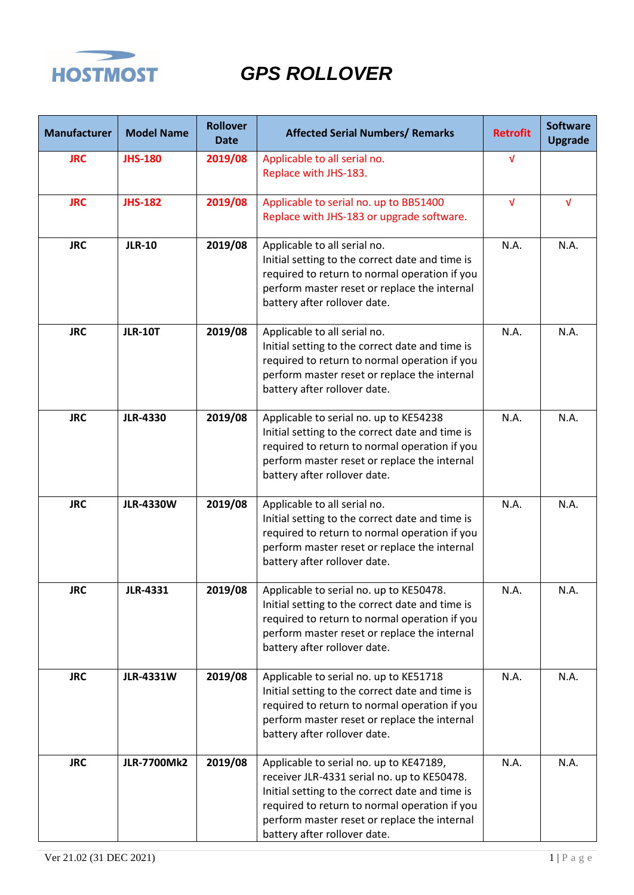

| <b>Manufacturer</b> | <b>Model Name</b>  | <b>Rollover</b><br><b>Date</b> | <b>Affected Serial Numbers/ Remarks</b>                                                                                                                                                                                                                                    | <b>Retrofit</b> | <b>Software</b><br><b>Upgrade</b> |
|---------------------|--------------------|--------------------------------|----------------------------------------------------------------------------------------------------------------------------------------------------------------------------------------------------------------------------------------------------------------------------|-----------------|-----------------------------------|
| <b>JRC</b>          | <b>JHS-180</b>     | 2019/08                        | Applicable to all serial no.<br>Replace with JHS-183.                                                                                                                                                                                                                      | √               |                                   |
| <b>JRC</b>          | <b>JHS-182</b>     | 2019/08                        | Applicable to serial no. up to BB51400<br>Replace with JHS-183 or upgrade software.                                                                                                                                                                                        | $\sqrt{ }$      | $\sqrt{ }$                        |
| <b>JRC</b>          | <b>JLR-10</b>      | 2019/08                        | Applicable to all serial no.<br>Initial setting to the correct date and time is<br>required to return to normal operation if you<br>perform master reset or replace the internal<br>battery after rollover date.                                                           | N.A.            | N.A.                              |
| <b>JRC</b>          | <b>JLR-10T</b>     | 2019/08                        | Applicable to all serial no.<br>Initial setting to the correct date and time is<br>required to return to normal operation if you<br>perform master reset or replace the internal<br>battery after rollover date.                                                           | N.A.            | N.A.                              |
| <b>JRC</b>          | <b>JLR-4330</b>    | 2019/08                        | Applicable to serial no. up to KE54238<br>Initial setting to the correct date and time is<br>required to return to normal operation if you<br>perform master reset or replace the internal<br>battery after rollover date.                                                 | N.A.            | N.A.                              |
| <b>JRC</b>          | <b>JLR-4330W</b>   | 2019/08                        | Applicable to all serial no.<br>Initial setting to the correct date and time is<br>required to return to normal operation if you<br>perform master reset or replace the internal<br>battery after rollover date.                                                           | N.A.            | N.A.                              |
| <b>JRC</b>          | <b>JLR-4331</b>    | 2019/08                        | Applicable to serial no. up to KE50478.<br>Initial setting to the correct date and time is<br>required to return to normal operation if you<br>perform master reset or replace the internal<br>battery after rollover date.                                                | N.A.            | N.A.                              |
| <b>JRC</b>          | <b>JLR-4331W</b>   | 2019/08                        | Applicable to serial no. up to KE51718<br>Initial setting to the correct date and time is<br>required to return to normal operation if you<br>perform master reset or replace the internal<br>battery after rollover date.                                                 | N.A.            | N.A.                              |
| <b>JRC</b>          | <b>JLR-7700Mk2</b> | 2019/08                        | Applicable to serial no. up to KE47189,<br>receiver JLR-4331 serial no. up to KE50478.<br>Initial setting to the correct date and time is<br>required to return to normal operation if you<br>perform master reset or replace the internal<br>battery after rollover date. | N.A.            | N.A.                              |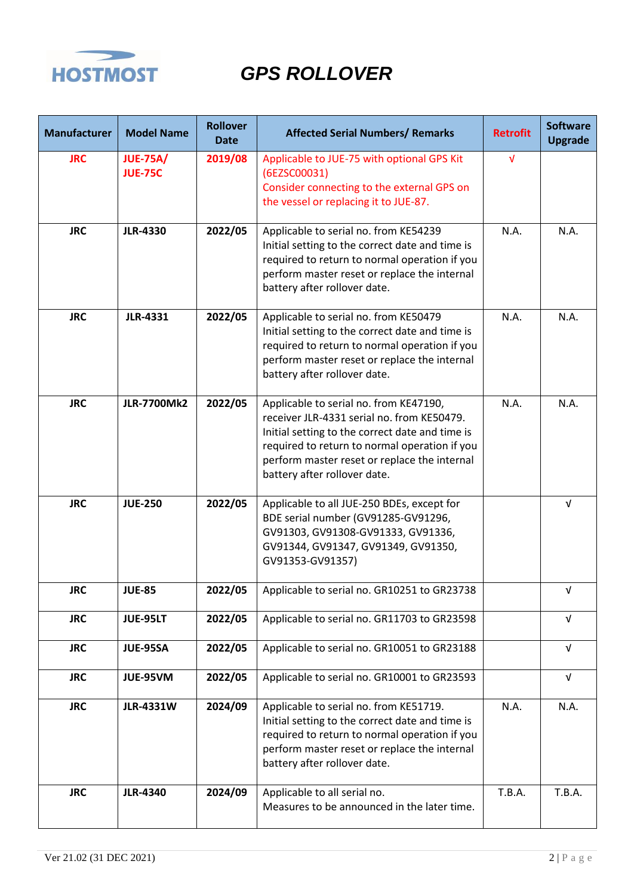

| <b>Manufacturer</b> | <b>Model Name</b>                 | <b>Rollover</b><br><b>Date</b> | <b>Affected Serial Numbers/ Remarks</b>                                                                                                                                                                                                                                  | <b>Retrofit</b> | <b>Software</b><br><b>Upgrade</b> |
|---------------------|-----------------------------------|--------------------------------|--------------------------------------------------------------------------------------------------------------------------------------------------------------------------------------------------------------------------------------------------------------------------|-----------------|-----------------------------------|
| <b>JRC</b>          | <b>JUE-75A/</b><br><b>JUE-75C</b> | 2019/08                        | Applicable to JUE-75 with optional GPS Kit<br>(6EZSC00031)<br>Consider connecting to the external GPS on<br>the vessel or replacing it to JUE-87.                                                                                                                        | $\sqrt{ }$      |                                   |
| <b>JRC</b>          | <b>JLR-4330</b>                   | 2022/05                        | Applicable to serial no. from KE54239<br>Initial setting to the correct date and time is<br>required to return to normal operation if you<br>perform master reset or replace the internal<br>battery after rollover date.                                                | N.A.            | N.A.                              |
| <b>JRC</b>          | <b>JLR-4331</b>                   | 2022/05                        | Applicable to serial no. from KE50479<br>Initial setting to the correct date and time is<br>required to return to normal operation if you<br>perform master reset or replace the internal<br>battery after rollover date.                                                | N.A.            | N.A.                              |
| <b>JRC</b>          | <b>JLR-7700Mk2</b>                | 2022/05                        | Applicable to serial no. from KE47190,<br>receiver JLR-4331 serial no. from KE50479.<br>Initial setting to the correct date and time is<br>required to return to normal operation if you<br>perform master reset or replace the internal<br>battery after rollover date. | N.A.            | N.A.                              |
| <b>JRC</b>          | <b>JUE-250</b>                    | 2022/05                        | Applicable to all JUE-250 BDEs, except for<br>BDE serial number (GV91285-GV91296,<br>GV91303, GV91308-GV91333, GV91336,<br>GV91344, GV91347, GV91349, GV91350,<br>GV91353-GV91357)                                                                                       |                 | $\sqrt{ }$                        |
| <b>JRC</b>          | <b>JUE-85</b>                     | 2022/05                        | Applicable to serial no. GR10251 to GR23738                                                                                                                                                                                                                              |                 | V                                 |
| <b>JRC</b>          | JUE-95LT                          | 2022/05                        | Applicable to serial no. GR11703 to GR23598                                                                                                                                                                                                                              |                 | $\sqrt{ }$                        |
| <b>JRC</b>          | <b>JUE-95SA</b>                   | 2022/05                        | Applicable to serial no. GR10051 to GR23188                                                                                                                                                                                                                              |                 | $\sqrt{ }$                        |
| <b>JRC</b>          | JUE-95VM                          | 2022/05                        | Applicable to serial no. GR10001 to GR23593                                                                                                                                                                                                                              |                 | $\sqrt{ }$                        |
| <b>JRC</b>          | <b>JLR-4331W</b>                  | 2024/09                        | Applicable to serial no. from KE51719.<br>Initial setting to the correct date and time is<br>required to return to normal operation if you<br>perform master reset or replace the internal<br>battery after rollover date.                                               | N.A.            | N.A.                              |
| <b>JRC</b>          | <b>JLR-4340</b>                   | 2024/09                        | Applicable to all serial no.<br>Measures to be announced in the later time.                                                                                                                                                                                              | T.B.A.          | T.B.A.                            |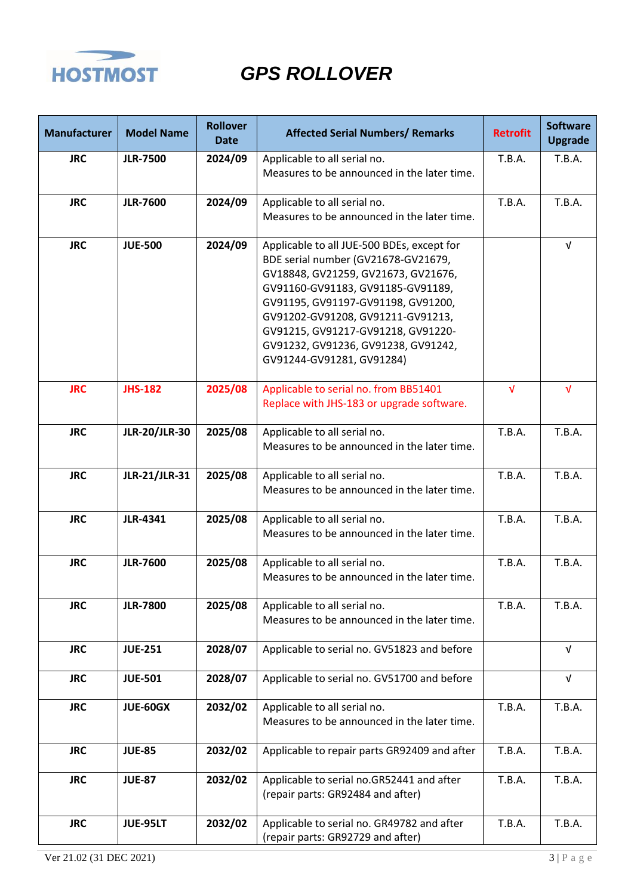

| <b>Manufacturer</b> | <b>Model Name</b>    | <b>Rollover</b><br><b>Date</b> | <b>Affected Serial Numbers/ Remarks</b>                                                                                                                                                                                                                                                                                                            | <b>Retrofit</b> | <b>Software</b><br><b>Upgrade</b> |
|---------------------|----------------------|--------------------------------|----------------------------------------------------------------------------------------------------------------------------------------------------------------------------------------------------------------------------------------------------------------------------------------------------------------------------------------------------|-----------------|-----------------------------------|
| <b>JRC</b>          | <b>JLR-7500</b>      | 2024/09                        | Applicable to all serial no.                                                                                                                                                                                                                                                                                                                       | <b>T.B.A.</b>   | <b>T.B.A.</b>                     |
|                     |                      |                                | Measures to be announced in the later time.                                                                                                                                                                                                                                                                                                        |                 |                                   |
| <b>JRC</b>          | <b>JLR-7600</b>      | 2024/09                        | Applicable to all serial no.                                                                                                                                                                                                                                                                                                                       | <b>T.B.A.</b>   | <b>T.B.A.</b>                     |
|                     |                      |                                | Measures to be announced in the later time.                                                                                                                                                                                                                                                                                                        |                 |                                   |
| <b>JRC</b>          | <b>JUE-500</b>       | 2024/09                        | Applicable to all JUE-500 BDEs, except for<br>BDE serial number (GV21678-GV21679,<br>GV18848, GV21259, GV21673, GV21676,<br>GV91160-GV91183, GV91185-GV91189,<br>GV91195, GV91197-GV91198, GV91200,<br>GV91202-GV91208, GV91211-GV91213,<br>GV91215, GV91217-GV91218, GV91220-<br>GV91232, GV91236, GV91238, GV91242,<br>GV91244-GV91281, GV91284) |                 | $\sqrt{ }$                        |
| <b>JRC</b>          | <b>JHS-182</b>       | 2025/08                        | Applicable to serial no. from BB51401<br>Replace with JHS-183 or upgrade software.                                                                                                                                                                                                                                                                 | $\sqrt{ }$      | $\sqrt{ }$                        |
| <b>JRC</b>          | <b>JLR-20/JLR-30</b> | 2025/08                        | Applicable to all serial no.<br>Measures to be announced in the later time.                                                                                                                                                                                                                                                                        | <b>T.B.A.</b>   | <b>T.B.A.</b>                     |
| <b>JRC</b>          | <b>JLR-21/JLR-31</b> | 2025/08                        | Applicable to all serial no.<br>Measures to be announced in the later time.                                                                                                                                                                                                                                                                        | <b>T.B.A.</b>   | <b>T.B.A.</b>                     |
| <b>JRC</b>          | <b>JLR-4341</b>      | 2025/08                        | Applicable to all serial no.<br>Measures to be announced in the later time.                                                                                                                                                                                                                                                                        | <b>T.B.A.</b>   | <b>T.B.A.</b>                     |
| <b>JRC</b>          | <b>JLR-7600</b>      | 2025/08                        | Applicable to all serial no.<br>Measures to be announced in the later time.                                                                                                                                                                                                                                                                        | <b>T.B.A.</b>   | T.B.A.                            |
| <b>JRC</b>          | <b>JLR-7800</b>      | 2025/08                        | Applicable to all serial no.<br>Measures to be announced in the later time.                                                                                                                                                                                                                                                                        | T.B.A.          | T.B.A.                            |
| <b>JRC</b>          | <b>JUE-251</b>       | 2028/07                        | Applicable to serial no. GV51823 and before                                                                                                                                                                                                                                                                                                        |                 | $\sqrt{ }$                        |
| <b>JRC</b>          | <b>JUE-501</b>       | 2028/07                        | Applicable to serial no. GV51700 and before                                                                                                                                                                                                                                                                                                        |                 | $\sqrt{ }$                        |
| <b>JRC</b>          | <b>JUE-60GX</b>      | 2032/02                        | Applicable to all serial no.<br>Measures to be announced in the later time.                                                                                                                                                                                                                                                                        | T.B.A.          | T.B.A.                            |
| <b>JRC</b>          | <b>JUE-85</b>        | 2032/02                        | Applicable to repair parts GR92409 and after                                                                                                                                                                                                                                                                                                       | T.B.A.          | T.B.A.                            |
| <b>JRC</b>          | <b>JUE-87</b>        | 2032/02                        | Applicable to serial no.GR52441 and after<br>(repair parts: GR92484 and after)                                                                                                                                                                                                                                                                     | T.B.A.          | T.B.A.                            |
| <b>JRC</b>          | JUE-95LT             | 2032/02                        | Applicable to serial no. GR49782 and after<br>(repair parts: GR92729 and after)                                                                                                                                                                                                                                                                    | <b>T.B.A.</b>   | T.B.A.                            |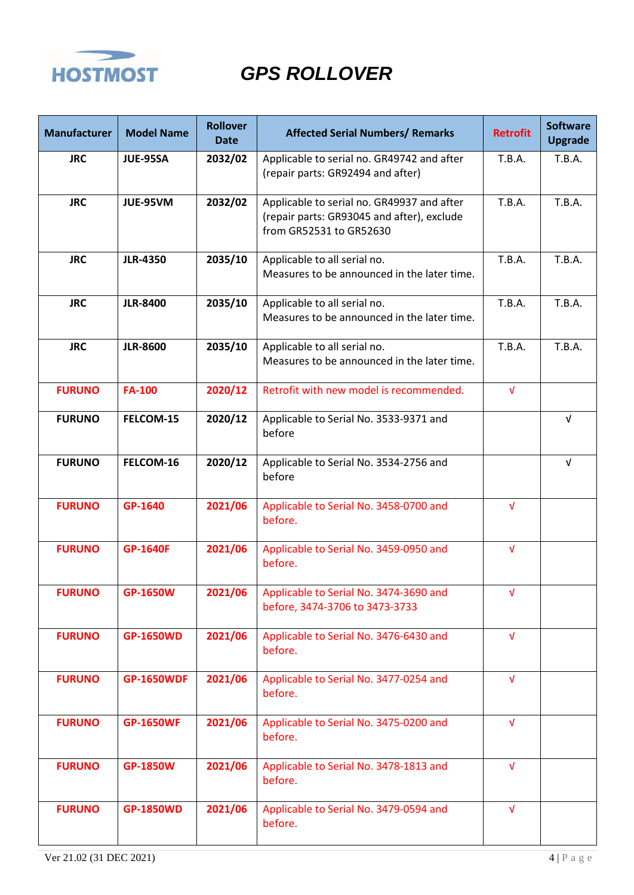

| <b>Manufacturer</b> | <b>Model Name</b> | <b>Rollover</b><br><b>Date</b> | <b>Affected Serial Numbers/ Remarks</b>                                                                             | <b>Retrofit</b> | <b>Software</b><br><b>Upgrade</b> |
|---------------------|-------------------|--------------------------------|---------------------------------------------------------------------------------------------------------------------|-----------------|-----------------------------------|
| <b>JRC</b>          | <b>JUE-95SA</b>   | 2032/02                        | Applicable to serial no. GR49742 and after<br>(repair parts: GR92494 and after)                                     | T.B.A.          | T.B.A.                            |
| <b>JRC</b>          | JUE-95VM          | 2032/02                        | Applicable to serial no. GR49937 and after<br>(repair parts: GR93045 and after), exclude<br>from GR52531 to GR52630 | <b>T.B.A.</b>   | T.B.A.                            |
| <b>JRC</b>          | <b>JLR-4350</b>   | 2035/10                        | Applicable to all serial no.<br>Measures to be announced in the later time.                                         | <b>T.B.A.</b>   | T.B.A.                            |
| <b>JRC</b>          | <b>JLR-8400</b>   | 2035/10                        | Applicable to all serial no.<br>Measures to be announced in the later time.                                         | <b>T.B.A.</b>   | T.B.A.                            |
| <b>JRC</b>          | <b>JLR-8600</b>   | 2035/10                        | Applicable to all serial no.<br>Measures to be announced in the later time.                                         | <b>T.B.A.</b>   | T.B.A.                            |
| <b>FURUNO</b>       | <b>FA-100</b>     | 2020/12                        | Retrofit with new model is recommended.                                                                             | $\sqrt{ }$      |                                   |
| <b>FURUNO</b>       | FELCOM-15         | 2020/12                        | Applicable to Serial No. 3533-9371 and<br>before                                                                    |                 | $\sqrt{ }$                        |
| <b>FURUNO</b>       | FELCOM-16         | 2020/12                        | Applicable to Serial No. 3534-2756 and<br>before                                                                    |                 | $\sqrt{ }$                        |
| <b>FURUNO</b>       | GP-1640           | 2021/06                        | Applicable to Serial No. 3458-0700 and<br>before.                                                                   | $\sqrt{ }$      |                                   |
| <b>FURUNO</b>       | <b>GP-1640F</b>   | 2021/06                        | Applicable to Serial No. 3459-0950 and<br>before.                                                                   | $\sqrt{ }$      |                                   |
| <b>FURUNO</b>       | GP-1650W          | 2021/06                        | Applicable to Serial No. 3474-3690 and<br>before, 3474-3706 to 3473-3733                                            | v               |                                   |
| <b>FURUNO</b>       | <b>GP-1650WD</b>  | 2021/06                        | Applicable to Serial No. 3476-6430 and<br>before.                                                                   | $\sqrt{ }$      |                                   |
| <b>FURUNO</b>       | <b>GP-1650WDF</b> | 2021/06                        | Applicable to Serial No. 3477-0254 and<br>before.                                                                   | $\sqrt{ }$      |                                   |
| <b>FURUNO</b>       | <b>GP-1650WF</b>  | 2021/06                        | Applicable to Serial No. 3475-0200 and<br>before.                                                                   | $\sqrt{ }$      |                                   |
| <b>FURUNO</b>       | <b>GP-1850W</b>   | 2021/06                        | Applicable to Serial No. 3478-1813 and<br>before.                                                                   | $\sqrt{ }$      |                                   |
| <b>FURUNO</b>       | <b>GP-1850WD</b>  | 2021/06                        | Applicable to Serial No. 3479-0594 and<br>before.                                                                   | $\sqrt{ }$      |                                   |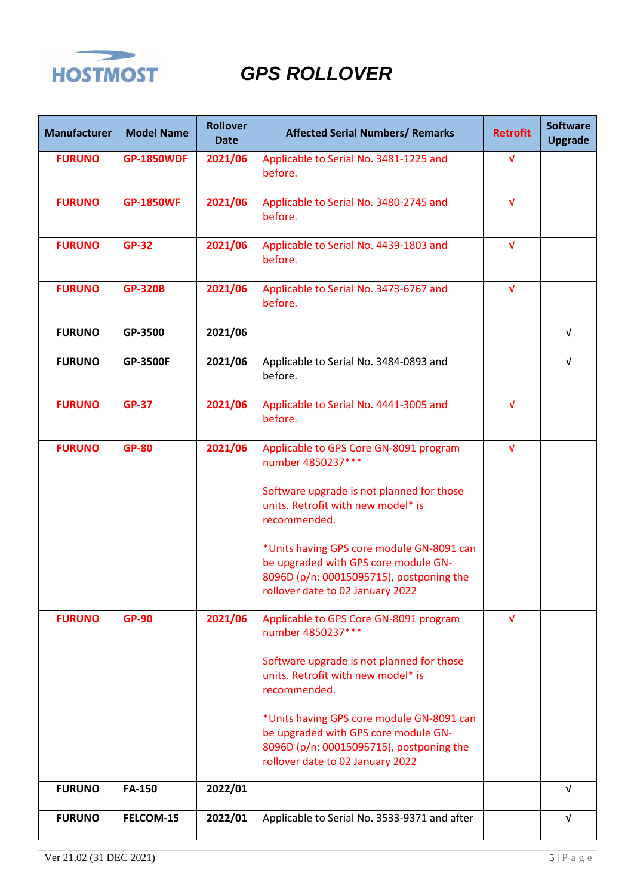

| <b>Manufacturer</b> | <b>Model Name</b> | <b>Rollover</b><br><b>Date</b> | <b>Affected Serial Numbers/ Remarks</b>                                                                                                                                                                                                                                                                                             | <b>Retrofit</b> | <b>Software</b><br><b>Upgrade</b> |
|---------------------|-------------------|--------------------------------|-------------------------------------------------------------------------------------------------------------------------------------------------------------------------------------------------------------------------------------------------------------------------------------------------------------------------------------|-----------------|-----------------------------------|
| <b>FURUNO</b>       | <b>GP-1850WDF</b> | 2021/06                        | Applicable to Serial No. 3481-1225 and<br>before.                                                                                                                                                                                                                                                                                   | $\sqrt{ }$      |                                   |
| <b>FURUNO</b>       | <b>GP-1850WF</b>  | 2021/06                        | Applicable to Serial No. 3480-2745 and<br>before.                                                                                                                                                                                                                                                                                   | $\sqrt{ }$      |                                   |
| <b>FURUNO</b>       | <b>GP-32</b>      | 2021/06                        | Applicable to Serial No. 4439-1803 and<br>before.                                                                                                                                                                                                                                                                                   | $\sqrt{ }$      |                                   |
| <b>FURUNO</b>       | <b>GP-320B</b>    | 2021/06                        | Applicable to Serial No. 3473-6767 and<br>before.                                                                                                                                                                                                                                                                                   | $\sqrt{ }$      |                                   |
| <b>FURUNO</b>       | GP-3500           | 2021/06                        |                                                                                                                                                                                                                                                                                                                                     |                 | $\sqrt{ }$                        |
| <b>FURUNO</b>       | <b>GP-3500F</b>   | 2021/06                        | Applicable to Serial No. 3484-0893 and<br>before.                                                                                                                                                                                                                                                                                   |                 | $\sqrt{ }$                        |
| <b>FURUNO</b>       | <b>GP-37</b>      | 2021/06                        | Applicable to Serial No. 4441-3005 and<br>before.                                                                                                                                                                                                                                                                                   | $\sqrt{ }$      |                                   |
| <b>FURUNO</b>       | <b>GP-80</b>      | 2021/06                        | Applicable to GPS Core GN-8091 program<br>number 4850237***<br>Software upgrade is not planned for those<br>units. Retrofit with new model* is<br>recommended.<br>*Units having GPS core module GN-8091 can<br>be upgraded with GPS core module GN-<br>8096D (p/n: 00015095715), postponing the<br>rollover date to 02 January 2022 | $\sqrt{ }$      |                                   |
| <b>FURUNO</b>       | <b>GP-90</b>      | 2021/06                        | Applicable to GPS Core GN-8091 program<br>number 4850237***<br>Software upgrade is not planned for those<br>units. Retrofit with new model* is<br>recommended.<br>*Units having GPS core module GN-8091 can<br>be upgraded with GPS core module GN-<br>8096D (p/n: 00015095715), postponing the<br>rollover date to 02 January 2022 | $\sqrt{ }$      |                                   |
| <b>FURUNO</b>       | <b>FA-150</b>     | 2022/01                        |                                                                                                                                                                                                                                                                                                                                     |                 | $\sqrt{ }$                        |
| <b>FURUNO</b>       | FELCOM-15         | 2022/01                        | Applicable to Serial No. 3533-9371 and after                                                                                                                                                                                                                                                                                        |                 | V                                 |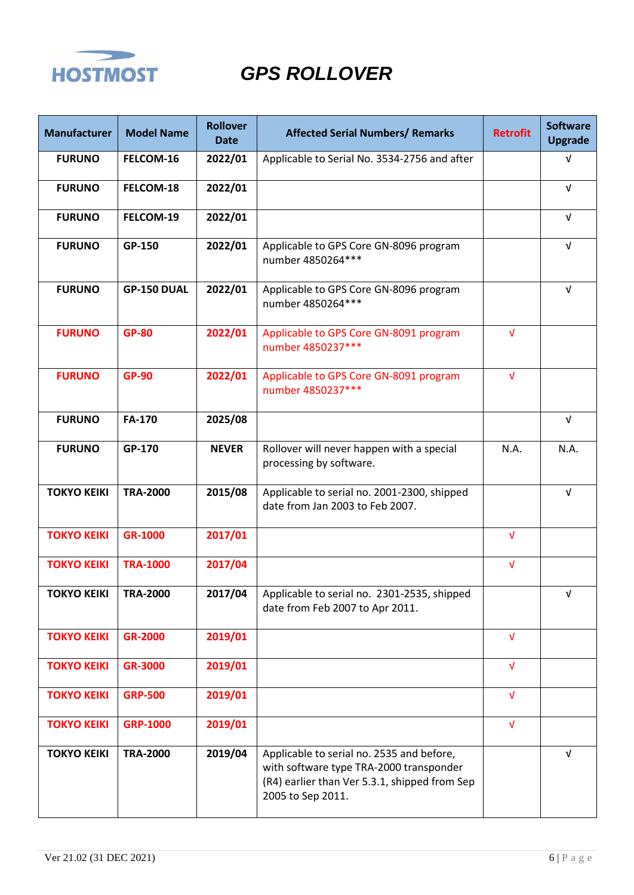

| <b>Manufacturer</b> | <b>Model Name</b> | <b>Rollover</b><br><b>Date</b> | <b>Affected Serial Numbers/ Remarks</b>                                                                                                                    | <b>Retrofit</b> | <b>Software</b><br><b>Upgrade</b> |
|---------------------|-------------------|--------------------------------|------------------------------------------------------------------------------------------------------------------------------------------------------------|-----------------|-----------------------------------|
| <b>FURUNO</b>       | FELCOM-16         | 2022/01                        | Applicable to Serial No. 3534-2756 and after                                                                                                               |                 | $\sqrt{ }$                        |
| <b>FURUNO</b>       | FELCOM-18         | 2022/01                        |                                                                                                                                                            |                 | $\sqrt{ }$                        |
| <b>FURUNO</b>       | FELCOM-19         | 2022/01                        |                                                                                                                                                            |                 | $\sqrt{ }$                        |
| <b>FURUNO</b>       | GP-150            | 2022/01                        | Applicable to GPS Core GN-8096 program<br>number 4850264 ***                                                                                               |                 | $\sqrt{ }$                        |
| <b>FURUNO</b>       | GP-150 DUAL       | 2022/01                        | Applicable to GPS Core GN-8096 program<br>number 4850264***                                                                                                |                 | $\sqrt{ }$                        |
| <b>FURUNO</b>       | <b>GP-80</b>      | 2022/01                        | Applicable to GPS Core GN-8091 program<br>number 4850237***                                                                                                | $\sqrt{ }$      |                                   |
| <b>FURUNO</b>       | <b>GP-90</b>      | 2022/01                        | Applicable to GPS Core GN-8091 program<br>number 4850237***                                                                                                | $\sqrt{ }$      |                                   |
| <b>FURUNO</b>       | <b>FA-170</b>     | 2025/08                        |                                                                                                                                                            |                 | $\sqrt{ }$                        |
| <b>FURUNO</b>       | GP-170            | <b>NEVER</b>                   | Rollover will never happen with a special<br>processing by software.                                                                                       | N.A.            | N.A.                              |
| <b>TOKYO KEIKI</b>  | <b>TRA-2000</b>   | 2015/08                        | Applicable to serial no. 2001-2300, shipped<br>date from Jan 2003 to Feb 2007.                                                                             |                 | $\sqrt{ }$                        |
| <b>TOKYO KEIKI</b>  | GR-1000           | 2017/01                        |                                                                                                                                                            | $\sqrt{ }$      |                                   |
| <b>TOKYO KEIKI</b>  | <b>TRA-1000</b>   | 2017/04                        |                                                                                                                                                            | $\sqrt{ }$      |                                   |
| <b>TOKYO KEIKI</b>  | <b>TRA-2000</b>   | 2017/04                        | Applicable to serial no. 2301-2535, shipped<br>date from Feb 2007 to Apr 2011.                                                                             |                 | ν                                 |
| <b>TOKYO KEIKI</b>  | <b>GR-2000</b>    | 2019/01                        |                                                                                                                                                            | $\sqrt{ }$      |                                   |
| <b>TOKYO KEIKI</b>  | <b>GR-3000</b>    | 2019/01                        |                                                                                                                                                            | $\sqrt{ }$      |                                   |
| <b>TOKYO KEIKI</b>  | <b>GRP-500</b>    | 2019/01                        |                                                                                                                                                            | $\sqrt{ }$      |                                   |
| <b>TOKYO KEIKI</b>  | <b>GRP-1000</b>   | 2019/01                        |                                                                                                                                                            | $\sqrt{ }$      |                                   |
| <b>TOKYO KEIKI</b>  | <b>TRA-2000</b>   | 2019/04                        | Applicable to serial no. 2535 and before,<br>with software type TRA-2000 transponder<br>(R4) earlier than Ver 5.3.1, shipped from Sep<br>2005 to Sep 2011. |                 | $\sqrt{ }$                        |